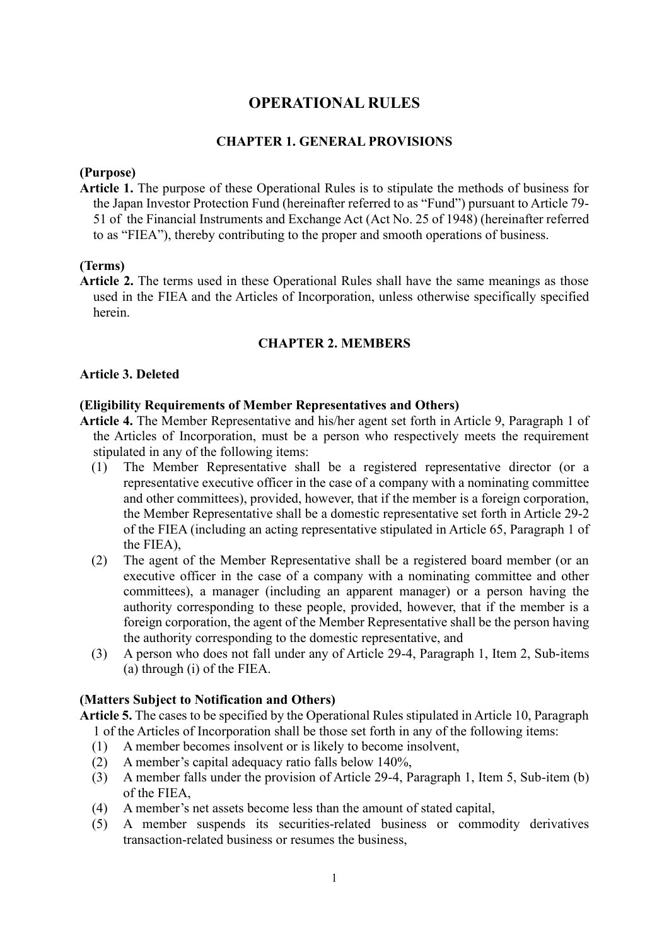# **OPERATIONAL RULES**

## **CHAPTER 1. GENERAL PROVISIONS**

### **(Purpose)**

**Article 1.** The purpose of these Operational Rules is to stipulate the methods of business for the Japan Investor Protection Fund (hereinafter referred to as "Fund") pursuant to Article 79- 51 of the Financial Instruments and Exchange Act (Act No. 25 of 1948) (hereinafter referred to as "FIEA"), thereby contributing to the proper and smooth operations of business.

### **(Terms)**

**Article 2.** The terms used in these Operational Rules shall have the same meanings as those used in the FIEA and the Articles of Incorporation, unless otherwise specifically specified herein.

### **CHAPTER 2. MEMBERS**

# **Article 3. Deleted**

#### **(Eligibility Requirements of Member Representatives and Others)**

- **Article 4.** The Member Representative and his/her agent set forth in Article 9, Paragraph 1 of the Articles of Incorporation, must be a person who respectively meets the requirement stipulated in any of the following items:
	- (1) The Member Representative shall be a registered representative director (or a representative executive officer in the case of a company with a nominating committee and other committees), provided, however, that if the member is a foreign corporation, the Member Representative shall be a domestic representative set forth in Article 29-2 of the FIEA (including an acting representative stipulated in Article 65, Paragraph 1 of the FIEA),
	- (2) The agent of the Member Representative shall be a registered board member (or an executive officer in the case of a company with a nominating committee and other committees), a manager (including an apparent manager) or a person having the authority corresponding to these people, provided, however, that if the member is a foreign corporation, the agent of the Member Representative shall be the person having the authority corresponding to the domestic representative, and
	- (3) A person who does not fall under any of Article 29-4, Paragraph 1, Item 2, Sub-items (a) through (i) of the FIEA.

#### **(Matters Subject to Notification and Others)**

**Article 5.** The cases to be specified by the Operational Rules stipulated in Article 10, Paragraph 1 of the Articles of Incorporation shall be those set forth in any of the following items:

- (1) A member becomes insolvent or is likely to become insolvent,
- (2) A member's capital adequacy ratio falls below 140%,
- (3) A member falls under the provision of Article 29-4, Paragraph 1, Item 5, Sub-item (b) of the FIEA,
- (4) A member's net assets become less than the amount of stated capital,
- (5) A member suspends its securities-related business or commodity derivatives transaction-related business or resumes the business,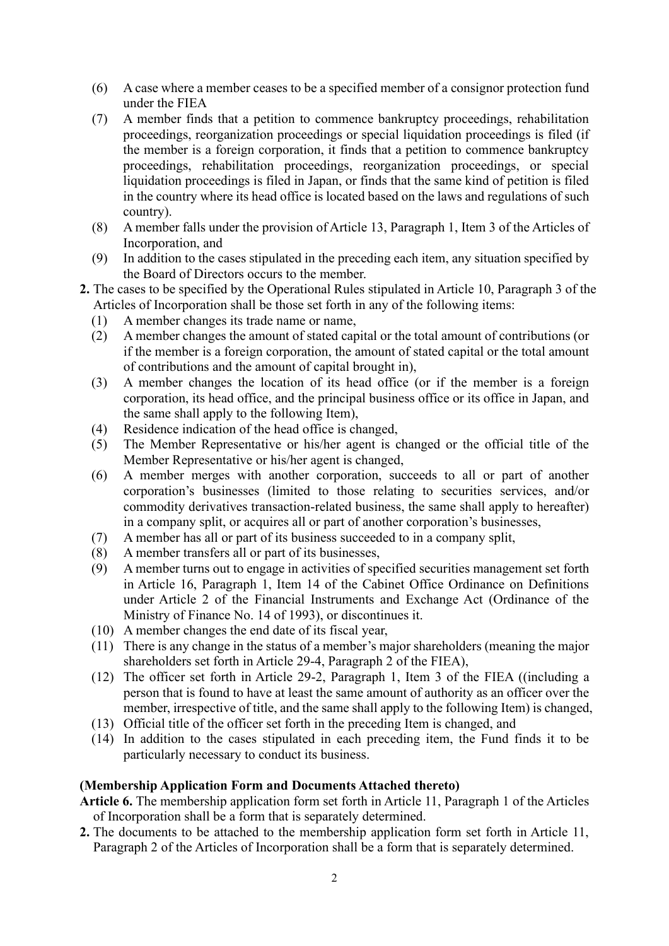- (6) A case where a member ceases to be a specified member of a consignor protection fund under the FIEA
- (7) A member finds that a petition to commence bankruptcy proceedings, rehabilitation proceedings, reorganization proceedings or special liquidation proceedings is filed (if the member is a foreign corporation, it finds that a petition to commence bankruptcy proceedings, rehabilitation proceedings, reorganization proceedings, or special liquidation proceedings is filed in Japan, or finds that the same kind of petition is filed in the country where its head office is located based on the laws and regulations of such country).
- (8) A member falls under the provision of Article 13, Paragraph 1, Item 3 of the Articles of Incorporation, and
- (9) In addition to the cases stipulated in the preceding each item, any situation specified by the Board of Directors occurs to the member.
- **2.** The cases to be specified by the Operational Rules stipulated in Article 10, Paragraph 3 of the Articles of Incorporation shall be those set forth in any of the following items:
	- (1) A member changes its trade name or name,
	- (2) A member changes the amount of stated capital or the total amount of contributions (or if the member is a foreign corporation, the amount of stated capital or the total amount of contributions and the amount of capital brought in),
	- (3) A member changes the location of its head office (or if the member is a foreign corporation, its head office, and the principal business office or its office in Japan, and the same shall apply to the following Item),
	- (4) Residence indication of the head office is changed,
	- (5) The Member Representative or his/her agent is changed or the official title of the Member Representative or his/her agent is changed,
	- (6) A member merges with another corporation, succeeds to all or part of another corporation's businesses (limited to those relating to securities services, and/or commodity derivatives transaction-related business, the same shall apply to hereafter) in a company split, or acquires all or part of another corporation's businesses,
	- (7) A member has all or part of its business succeeded to in a company split,
	- (8) A member transfers all or part of its businesses,
	- (9) A member turns out to engage in activities of specified securities management set forth in Article 16, Paragraph 1, Item 14 of the Cabinet Office Ordinance on Definitions under Article 2 of the Financial Instruments and Exchange Act (Ordinance of the Ministry of Finance No. 14 of 1993), or discontinues it.
	- (10) A member changes the end date of its fiscal year,
	- (11) There is any change in the status of a member's major shareholders (meaning the major shareholders set forth in Article 29-4, Paragraph 2 of the FIEA),
	- (12) The officer set forth in Article 29-2, Paragraph 1, Item 3 of the FIEA ((including a person that is found to have at least the same amount of authority as an officer over the member, irrespective of title, and the same shall apply to the following Item) is changed,
	- (13) Official title of the officer set forth in the preceding Item is changed, and
	- (14) In addition to the cases stipulated in each preceding item, the Fund finds it to be particularly necessary to conduct its business.

### **(Membership Application Form and Documents Attached thereto)**

- **Article 6.** The membership application form set forth in Article 11, Paragraph 1 of the Articles of Incorporation shall be a form that is separately determined.
- **2.** The documents to be attached to the membership application form set forth in Article 11, Paragraph 2 of the Articles of Incorporation shall be a form that is separately determined.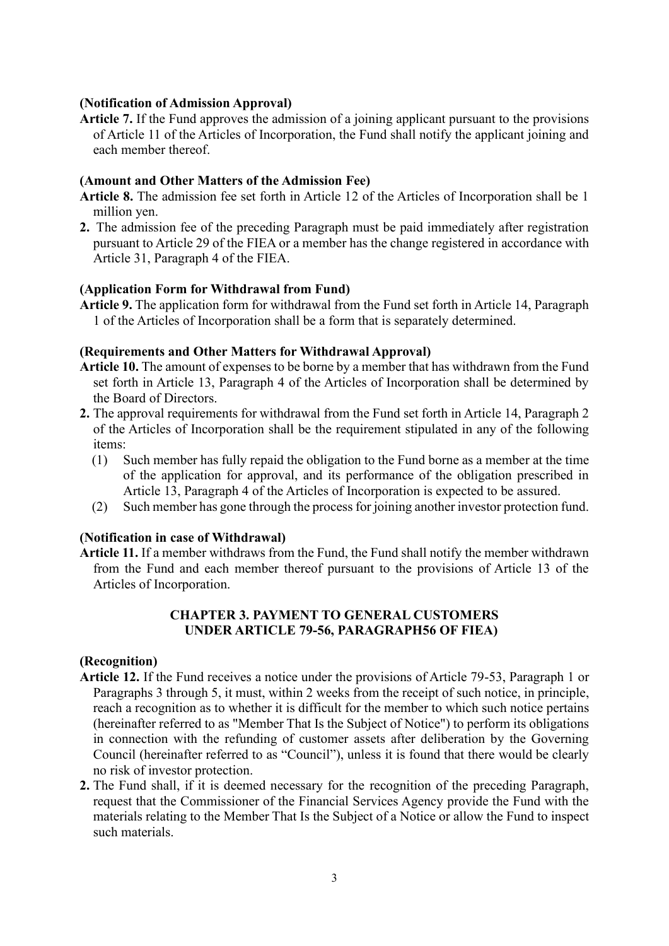## **(Notification of Admission Approval)**

**Article 7.** If the Fund approves the admission of a joining applicant pursuant to the provisions of Article 11 of the Articles of Incorporation, the Fund shall notify the applicant joining and each member thereof.

# **(Amount and Other Matters of the Admission Fee)**

- **Article 8.** The admission fee set forth in Article 12 of the Articles of Incorporation shall be 1 million yen.
- **2.** The admission fee of the preceding Paragraph must be paid immediately after registration pursuant to Article 29 of the FIEA or a member has the change registered in accordance with Article 31, Paragraph 4 of the FIEA.

# **(Application Form for Withdrawal from Fund)**

**Article 9.** The application form for withdrawal from the Fund set forth in Article 14, Paragraph 1 of the Articles of Incorporation shall be a form that is separately determined.

# **(Requirements and Other Matters for Withdrawal Approval)**

- **Article 10.** The amount of expenses to be borne by a member that has withdrawn from the Fund set forth in Article 13, Paragraph 4 of the Articles of Incorporation shall be determined by the Board of Directors.
- **2.** The approval requirements for withdrawal from the Fund set forth in Article 14, Paragraph 2 of the Articles of Incorporation shall be the requirement stipulated in any of the following items:
	- (1) Such member has fully repaid the obligation to the Fund borne as a member at the time of the application for approval, and its performance of the obligation prescribed in Article 13, Paragraph 4 of the Articles of Incorporation is expected to be assured.
	- (2) Such member has gone through the process for joining another investor protection fund.

### **(Notification in case of Withdrawal)**

**Article 11.** If a member withdraws from the Fund, the Fund shall notify the member withdrawn from the Fund and each member thereof pursuant to the provisions of Article 13 of the Articles of Incorporation.

# **CHAPTER 3. PAYMENT TO GENERAL CUSTOMERS UNDER ARTICLE 79-56, PARAGRAPH56 OF FIEA)**

### **(Recognition)**

- **Article 12.** If the Fund receives a notice under the provisions of Article 79-53, Paragraph 1 or Paragraphs 3 through 5, it must, within 2 weeks from the receipt of such notice, in principle, reach a recognition as to whether it is difficult for the member to which such notice pertains (hereinafter referred to as "Member That Is the Subject of Notice") to perform its obligations in connection with the refunding of customer assets after deliberation by the Governing Council (hereinafter referred to as "Council"), unless it is found that there would be clearly no risk of investor protection.
- **2.** The Fund shall, if it is deemed necessary for the recognition of the preceding Paragraph, request that the Commissioner of the Financial Services Agency provide the Fund with the materials relating to the Member That Is the Subject of a Notice or allow the Fund to inspect such materials.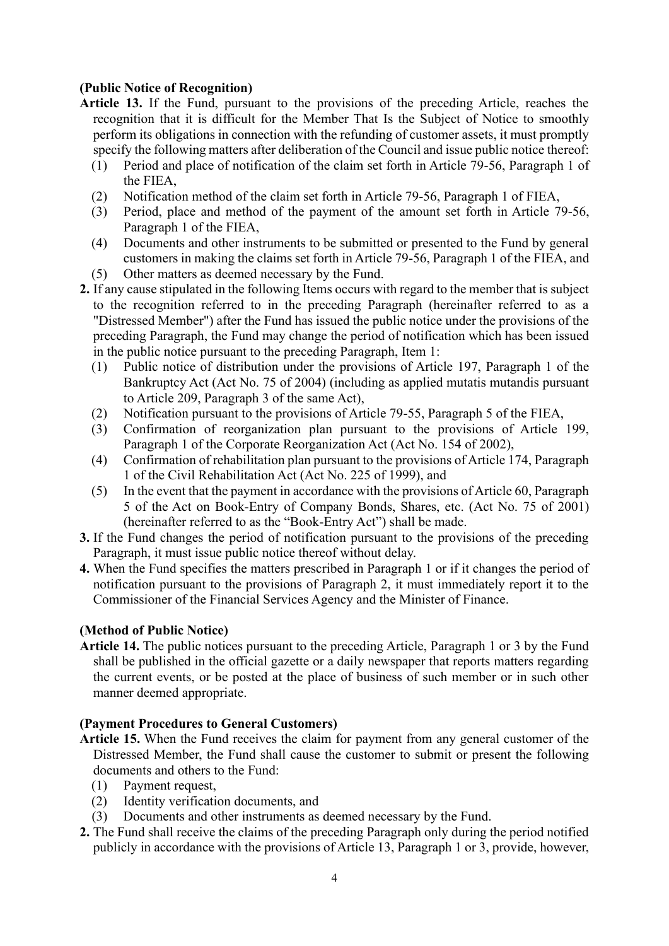# **(Public Notice of Recognition)**

- **Article 13.** If the Fund, pursuant to the provisions of the preceding Article, reaches the recognition that it is difficult for the Member That Is the Subject of Notice to smoothly perform its obligations in connection with the refunding of customer assets, it must promptly specify the following matters after deliberation of the Council and issue public notice thereof:
	- (1) Period and place of notification of the claim set forth in Article 79-56, Paragraph 1 of the FIEA,
	- (2) Notification method of the claim set forth in Article 79-56, Paragraph 1 of FIEA,
	- (3) Period, place and method of the payment of the amount set forth in Article 79-56, Paragraph 1 of the FIEA,
	- (4) Documents and other instruments to be submitted or presented to the Fund by general customers in making the claims set forth in Article 79-56, Paragraph 1 of the FIEA, and
	- (5) Other matters as deemed necessary by the Fund.
- **2.** If any cause stipulated in the following Items occurs with regard to the member that is subject to the recognition referred to in the preceding Paragraph (hereinafter referred to as a "Distressed Member") after the Fund has issued the public notice under the provisions of the preceding Paragraph, the Fund may change the period of notification which has been issued in the public notice pursuant to the preceding Paragraph, Item 1:
	- (1) Public notice of distribution under the provisions of Article 197, Paragraph 1 of the Bankruptcy Act (Act No. 75 of 2004) (including as applied mutatis mutandis pursuant to Article 209, Paragraph 3 of the same Act),
	- (2) Notification pursuant to the provisions of Article 79-55, Paragraph 5 of the FIEA,
	- (3) Confirmation of reorganization plan pursuant to the provisions of Article 199, Paragraph 1 of the Corporate Reorganization Act (Act No. 154 of 2002),
	- (4) Confirmation of rehabilitation plan pursuant to the provisions of Article 174, Paragraph 1 of the Civil Rehabilitation Act (Act No. 225 of 1999), and
	- (5) In the event that the payment in accordance with the provisions of Article 60, Paragraph 5 of the Act on Book-Entry of Company Bonds, Shares, etc. (Act No. 75 of 2001) (hereinafter referred to as the "Book-Entry Act") shall be made.
- **3.** If the Fund changes the period of notification pursuant to the provisions of the preceding Paragraph, it must issue public notice thereof without delay.
- **4.** When the Fund specifies the matters prescribed in Paragraph 1 or if it changes the period of notification pursuant to the provisions of Paragraph 2, it must immediately report it to the Commissioner of the Financial Services Agency and the Minister of Finance.

### **(Method of Public Notice)**

**Article 14.** The public notices pursuant to the preceding Article, Paragraph 1 or 3 by the Fund shall be published in the official gazette or a daily newspaper that reports matters regarding the current events, or be posted at the place of business of such member or in such other manner deemed appropriate.

### **(Payment Procedures to General Customers)**

- **Article 15.** When the Fund receives the claim for payment from any general customer of the Distressed Member, the Fund shall cause the customer to submit or present the following documents and others to the Fund:
	- (1) Payment request,
	- (2) Identity verification documents, and
	- (3) Documents and other instruments as deemed necessary by the Fund.
- **2.** The Fund shall receive the claims of the preceding Paragraph only during the period notified publicly in accordance with the provisions of Article 13, Paragraph 1 or 3, provide, however,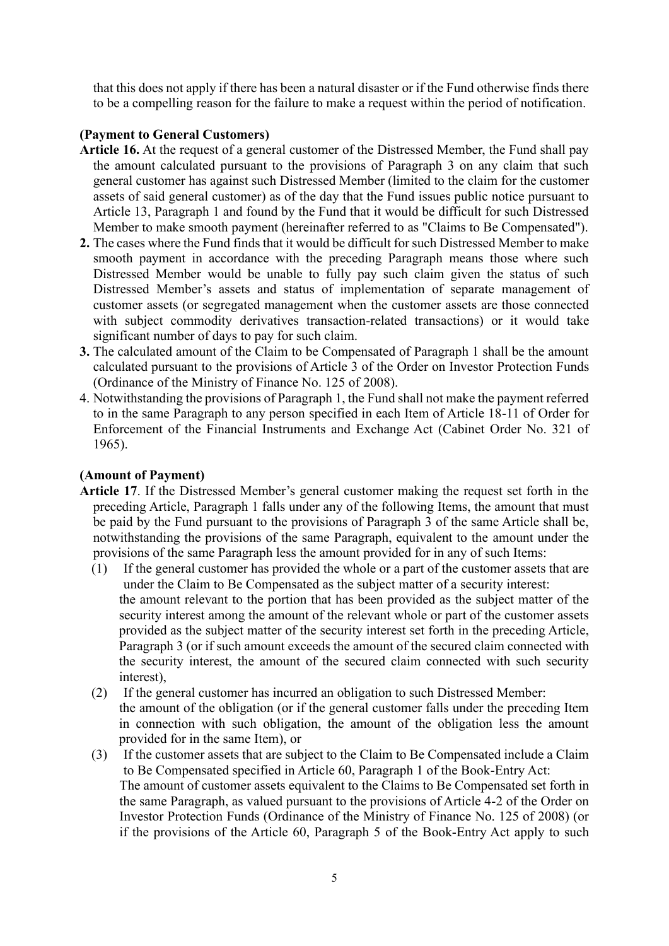that this does not apply if there has been a natural disaster or if the Fund otherwise finds there to be a compelling reason for the failure to make a request within the period of notification.

# **(Payment to General Customers)**

- **Article 16.** At the request of a general customer of the Distressed Member, the Fund shall pay the amount calculated pursuant to the provisions of Paragraph 3 on any claim that such general customer has against such Distressed Member (limited to the claim for the customer assets of said general customer) as of the day that the Fund issues public notice pursuant to Article 13, Paragraph 1 and found by the Fund that it would be difficult for such Distressed Member to make smooth payment (hereinafter referred to as "Claims to Be Compensated").
- **2.** The cases where the Fund finds that it would be difficult for such Distressed Member to make smooth payment in accordance with the preceding Paragraph means those where such Distressed Member would be unable to fully pay such claim given the status of such Distressed Member's assets and status of implementation of separate management of customer assets (or segregated management when the customer assets are those connected with subject commodity derivatives transaction-related transactions) or it would take significant number of days to pay for such claim.
- **3.** The calculated amount of the Claim to be Compensated of Paragraph 1 shall be the amount calculated pursuant to the provisions of Article 3 of the Order on Investor Protection Funds (Ordinance of the Ministry of Finance No. 125 of 2008).
- 4. Notwithstanding the provisions of Paragraph 1, the Fund shall not make the payment referred to in the same Paragraph to any person specified in each Item of Article 18-11 of Order for Enforcement of the Financial Instruments and Exchange Act (Cabinet Order No. 321 of 1965).

## **(Amount of Payment)**

- **Article 17**. If the Distressed Member's general customer making the request set forth in the preceding Article, Paragraph 1 falls under any of the following Items, the amount that must be paid by the Fund pursuant to the provisions of Paragraph 3 of the same Article shall be, notwithstanding the provisions of the same Paragraph, equivalent to the amount under the provisions of the same Paragraph less the amount provided for in any of such Items:
	- (1) If the general customer has provided the whole or a part of the customer assets that are under the Claim to Be Compensated as the subject matter of a security interest: the amount relevant to the portion that has been provided as the subject matter of the security interest among the amount of the relevant whole or part of the customer assets provided as the subject matter of the security interest set forth in the preceding Article, Paragraph 3 (or if such amount exceeds the amount of the secured claim connected with the security interest, the amount of the secured claim connected with such security interest),
	- (2) If the general customer has incurred an obligation to such Distressed Member: the amount of the obligation (or if the general customer falls under the preceding Item in connection with such obligation, the amount of the obligation less the amount provided for in the same Item), or
	- (3) If the customer assets that are subject to the Claim to Be Compensated include a Claim to Be Compensated specified in Article 60, Paragraph 1 of the Book-Entry Act: The amount of customer assets equivalent to the Claims to Be Compensated set forth in the same Paragraph, as valued pursuant to the provisions of Article 4-2 of the Order on Investor Protection Funds (Ordinance of the Ministry of Finance No. 125 of 2008) (or if the provisions of the Article 60, Paragraph 5 of the Book-Entry Act apply to such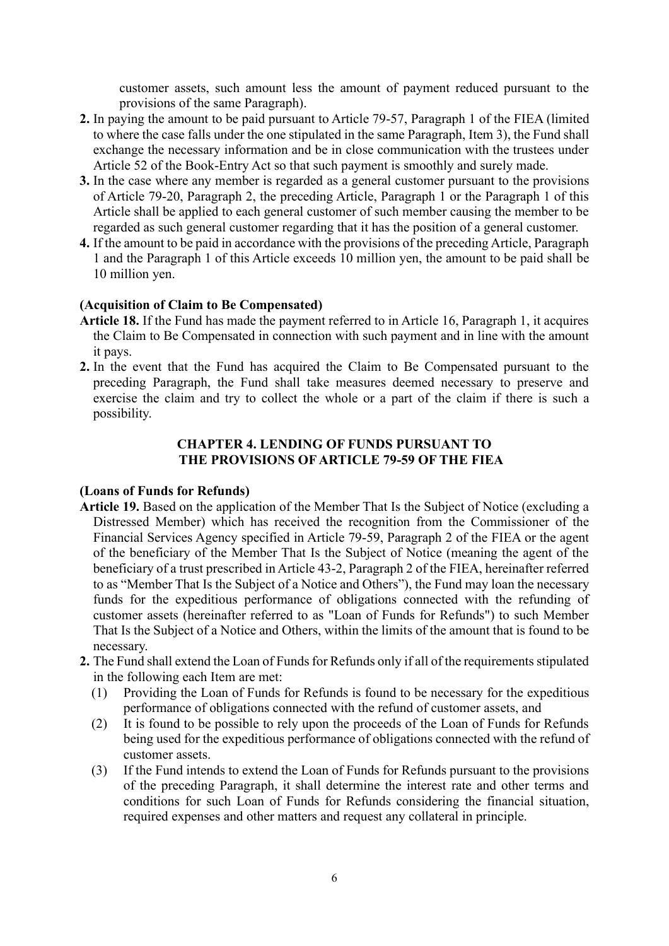customer assets, such amount less the amount of payment reduced pursuant to the provisions of the same Paragraph).

- **2.** In paying the amount to be paid pursuant to Article 79-57, Paragraph 1 of the FIEA (limited to where the case falls under the one stipulated in the same Paragraph, Item 3), the Fund shall exchange the necessary information and be in close communication with the trustees under Article 52 of the Book-Entry Act so that such payment is smoothly and surely made.
- **3.** In the case where any member is regarded as a general customer pursuant to the provisions of Article 79-20, Paragraph 2, the preceding Article, Paragraph 1 or the Paragraph 1 of this Article shall be applied to each general customer of such member causing the member to be regarded as such general customer regarding that it has the position of a general customer.
- **4.** If the amount to be paid in accordance with the provisions of the preceding Article, Paragraph 1 and the Paragraph 1 of this Article exceeds 10 million yen, the amount to be paid shall be 10 million yen.

# **(Acquisition of Claim to Be Compensated)**

- **Article 18.** If the Fund has made the payment referred to in Article 16, Paragraph 1, it acquires the Claim to Be Compensated in connection with such payment and in line with the amount it pays.
- **2.** In the event that the Fund has acquired the Claim to Be Compensated pursuant to the preceding Paragraph, the Fund shall take measures deemed necessary to preserve and exercise the claim and try to collect the whole or a part of the claim if there is such a possibility.

### **CHAPTER 4. LENDING OF FUNDS PURSUANT TO THE PROVISIONS OF ARTICLE 79-59 OF THE FIEA**

### **(Loans of Funds for Refunds)**

- **Article 19.** Based on the application of the Member That Is the Subject of Notice (excluding a Distressed Member) which has received the recognition from the Commissioner of the Financial Services Agency specified in Article 79-59, Paragraph 2 of the FIEA or the agent of the beneficiary of the Member That Is the Subject of Notice (meaning the agent of the beneficiary of a trust prescribed in Article 43-2, Paragraph 2 of the FIEA, hereinafter referred to as "Member That Is the Subject of a Notice and Others"), the Fund may loan the necessary funds for the expeditious performance of obligations connected with the refunding of customer assets (hereinafter referred to as "Loan of Funds for Refunds") to such Member That Is the Subject of a Notice and Others, within the limits of the amount that is found to be necessary.
- **2.** The Fund shall extend the Loan of Funds for Refunds only if all of the requirements stipulated in the following each Item are met:
	- (1) Providing the Loan of Funds for Refunds is found to be necessary for the expeditious performance of obligations connected with the refund of customer assets, and
	- (2) It is found to be possible to rely upon the proceeds of the Loan of Funds for Refunds being used for the expeditious performance of obligations connected with the refund of customer assets.
	- (3) If the Fund intends to extend the Loan of Funds for Refunds pursuant to the provisions of the preceding Paragraph, it shall determine the interest rate and other terms and conditions for such Loan of Funds for Refunds considering the financial situation, required expenses and other matters and request any collateral in principle.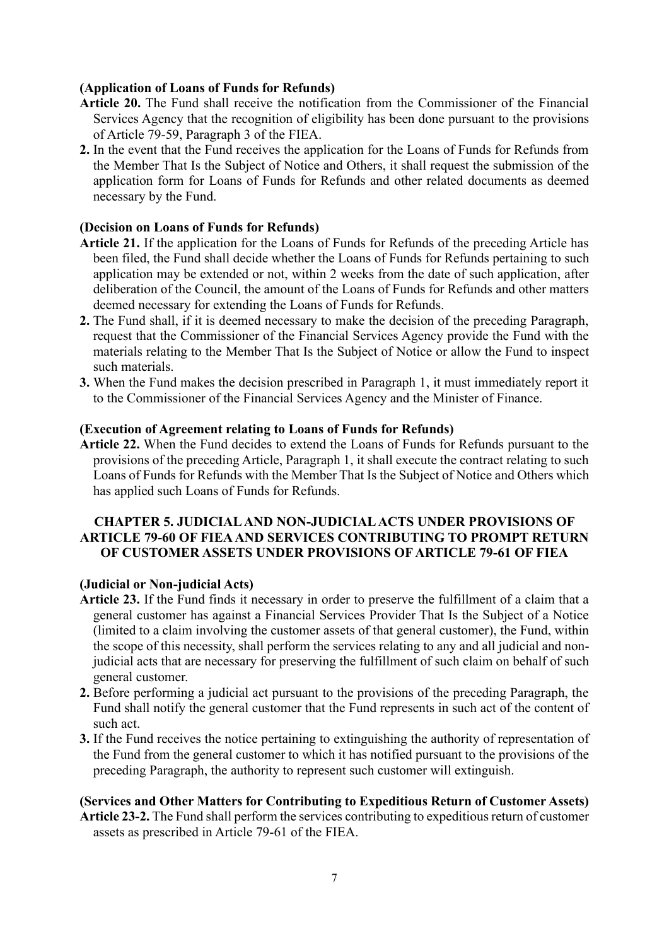# **(Application of Loans of Funds for Refunds)**

- **Article 20.** The Fund shall receive the notification from the Commissioner of the Financial Services Agency that the recognition of eligibility has been done pursuant to the provisions of Article 79-59, Paragraph 3 of the FIEA.
- **2.** In the event that the Fund receives the application for the Loans of Funds for Refunds from the Member That Is the Subject of Notice and Others, it shall request the submission of the application form for Loans of Funds for Refunds and other related documents as deemed necessary by the Fund.

## **(Decision on Loans of Funds for Refunds)**

- **Article 21.** If the application for the Loans of Funds for Refunds of the preceding Article has been filed, the Fund shall decide whether the Loans of Funds for Refunds pertaining to such application may be extended or not, within 2 weeks from the date of such application, after deliberation of the Council, the amount of the Loans of Funds for Refunds and other matters deemed necessary for extending the Loans of Funds for Refunds.
- **2.** The Fund shall, if it is deemed necessary to make the decision of the preceding Paragraph, request that the Commissioner of the Financial Services Agency provide the Fund with the materials relating to the Member That Is the Subject of Notice or allow the Fund to inspect such materials.
- **3.** When the Fund makes the decision prescribed in Paragraph 1, it must immediately report it to the Commissioner of the Financial Services Agency and the Minister of Finance.

### **(Execution of Agreement relating to Loans of Funds for Refunds)**

**Article 22.** When the Fund decides to extend the Loans of Funds for Refunds pursuant to the provisions of the preceding Article, Paragraph 1, it shall execute the contract relating to such Loans of Funds for Refunds with the Member That Is the Subject of Notice and Others which has applied such Loans of Funds for Refunds.

# **CHAPTER 5. JUDICIAL AND NON-JUDICIAL ACTS UNDER PROVISIONS OF ARTICLE 79-60 OF FIEAAND SERVICES CONTRIBUTING TO PROMPT RETURN OF CUSTOMER ASSETS UNDER PROVISIONS OF ARTICLE 79-61 OF FIEA**

### **(Judicial or Non-judicial Acts)**

- **Article 23.** If the Fund finds it necessary in order to preserve the fulfillment of a claim that a general customer has against a Financial Services Provider That Is the Subject of a Notice (limited to a claim involving the customer assets of that general customer), the Fund, within the scope of this necessity, shall perform the services relating to any and all judicial and nonjudicial acts that are necessary for preserving the fulfillment of such claim on behalf of such general customer.
- **2.** Before performing a judicial act pursuant to the provisions of the preceding Paragraph, the Fund shall notify the general customer that the Fund represents in such act of the content of such act.
- **3.** If the Fund receives the notice pertaining to extinguishing the authority of representation of the Fund from the general customer to which it has notified pursuant to the provisions of the preceding Paragraph, the authority to represent such customer will extinguish.

# **(Services and Other Matters for Contributing to Expeditious Return of Customer Assets)**

**Article 23-2.** The Fund shall perform the services contributing to expeditious return of customer assets as prescribed in Article 79-61 of the FIEA.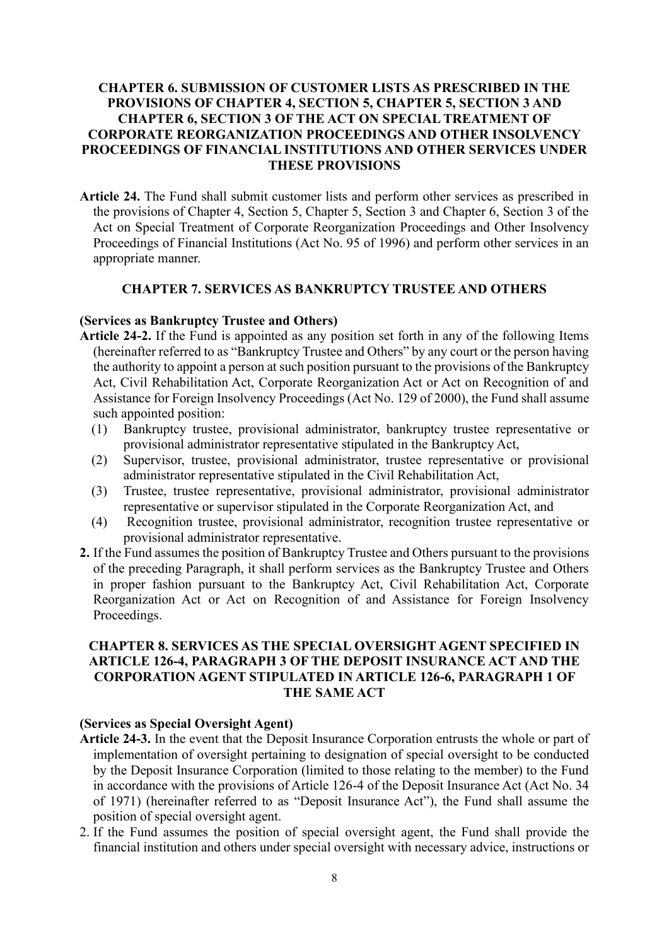# **CHAPTER 6. SUBMISSION OF CUSTOMER LISTS AS PRESCRIBED IN THE PROVISIONS OF CHAPTER 4, SECTION 5, CHAPTER 5, SECTION 3 AND CHAPTER 6, SECTION 3 OF THE ACT ON SPECIAL TREATMENT OF CORPORATE REORGANIZATION PROCEEDINGS AND OTHER INSOLVENCY PROCEEDINGS OF FINANCIAL INSTITUTIONS AND OTHER SERVICES UNDER THESE PROVISIONS**

**Article 24.** The Fund shall submit customer lists and perform other services as prescribed in the provisions of Chapter 4, Section 5, Chapter 5, Section 3 and Chapter 6, Section 3 of the Act on Special Treatment of Corporate Reorganization Proceedings and Other Insolvency Proceedings of Financial Institutions (Act No. 95 of 1996) and perform other services in an appropriate manner.

### **CHAPTER 7. SERVICES AS BANKRUPTCY TRUSTEE AND OTHERS**

#### **(Services as Bankruptcy Trustee and Others)**

- **Article 24-2.** If the Fund is appointed as any position set forth in any of the following Items (hereinafter referred to as "Bankruptcy Trustee and Others" by any court or the person having the authority to appoint a person at such position pursuant to the provisions of the Bankruptcy Act, Civil Rehabilitation Act, Corporate Reorganization Act or Act on Recognition of and Assistance for Foreign Insolvency Proceedings (Act No. 129 of 2000), the Fund shall assume such appointed position:
	- (1) Bankruptcy trustee, provisional administrator, bankruptcy trustee representative or provisional administrator representative stipulated in the Bankruptcy Act,
	- (2) Supervisor, trustee, provisional administrator, trustee representative or provisional administrator representative stipulated in the Civil Rehabilitation Act,
	- (3) Trustee, trustee representative, provisional administrator, provisional administrator representative or supervisor stipulated in the Corporate Reorganization Act, and
	- (4) Recognition trustee, provisional administrator, recognition trustee representative or provisional administrator representative.
- **2.** If the Fund assumes the position of Bankruptcy Trustee and Others pursuant to the provisions of the preceding Paragraph, it shall perform services as the Bankruptcy Trustee and Others in proper fashion pursuant to the Bankruptcy Act, Civil Rehabilitation Act, Corporate Reorganization Act or Act on Recognition of and Assistance for Foreign Insolvency Proceedings.

# **CHAPTER 8. SERVICES AS THE SPECIAL OVERSIGHT AGENT SPECIFIED IN ARTICLE 126-4, PARAGRAPH 3 OF THE DEPOSIT INSURANCE ACT AND THE CORPORATION AGENT STIPULATED IN ARTICLE 126-6, PARAGRAPH 1 OF THE SAME ACT**

### **(Services as Special Oversight Agent)**

- **Article 24-3.** In the event that the Deposit Insurance Corporation entrusts the whole or part of implementation of oversight pertaining to designation of special oversight to be conducted by the Deposit Insurance Corporation (limited to those relating to the member) to the Fund in accordance with the provisions of Article 126-4 of the Deposit Insurance Act (Act No. 34 of 1971) (hereinafter referred to as "Deposit Insurance Act"), the Fund shall assume the position of special oversight agent.
- 2. If the Fund assumes the position of special oversight agent, the Fund shall provide the financial institution and others under special oversight with necessary advice, instructions or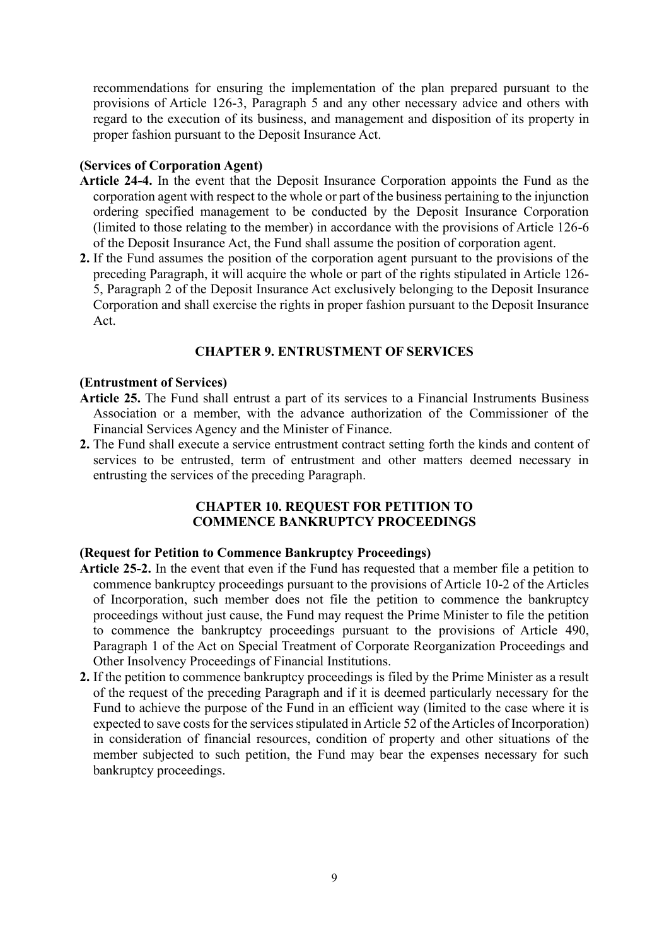recommendations for ensuring the implementation of the plan prepared pursuant to the provisions of Article 126-3, Paragraph 5 and any other necessary advice and others with regard to the execution of its business, and management and disposition of its property in proper fashion pursuant to the Deposit Insurance Act.

### **(Services of Corporation Agent)**

- **Article 24-4.** In the event that the Deposit Insurance Corporation appoints the Fund as the corporation agent with respect to the whole or part of the business pertaining to the injunction ordering specified management to be conducted by the Deposit Insurance Corporation (limited to those relating to the member) in accordance with the provisions of Article 126-6 of the Deposit Insurance Act, the Fund shall assume the position of corporation agent.
- **2.** If the Fund assumes the position of the corporation agent pursuant to the provisions of the preceding Paragraph, it will acquire the whole or part of the rights stipulated in Article 126- 5, Paragraph 2 of the Deposit Insurance Act exclusively belonging to the Deposit Insurance Corporation and shall exercise the rights in proper fashion pursuant to the Deposit Insurance Act.

# **CHAPTER 9. ENTRUSTMENT OF SERVICES**

#### **(Entrustment of Services)**

- **Article 25.** The Fund shall entrust a part of its services to a Financial Instruments Business Association or a member, with the advance authorization of the Commissioner of the Financial Services Agency and the Minister of Finance.
- **2.** The Fund shall execute a service entrustment contract setting forth the kinds and content of services to be entrusted, term of entrustment and other matters deemed necessary in entrusting the services of the preceding Paragraph.

### **CHAPTER 10. REQUEST FOR PETITION TO COMMENCE BANKRUPTCY PROCEEDINGS**

#### **(Request for Petition to Commence Bankruptcy Proceedings)**

- **Article 25-2.** In the event that even if the Fund has requested that a member file a petition to commence bankruptcy proceedings pursuant to the provisions of Article 10-2 of the Articles of Incorporation, such member does not file the petition to commence the bankruptcy proceedings without just cause, the Fund may request the Prime Minister to file the petition to commence the bankruptcy proceedings pursuant to the provisions of Article 490, Paragraph 1 of the Act on Special Treatment of Corporate Reorganization Proceedings and Other Insolvency Proceedings of Financial Institutions.
- **2.** If the petition to commence bankruptcy proceedings is filed by the Prime Minister as a result of the request of the preceding Paragraph and if it is deemed particularly necessary for the Fund to achieve the purpose of the Fund in an efficient way (limited to the case where it is expected to save costs for the services stipulated in Article 52 of the Articles of Incorporation) in consideration of financial resources, condition of property and other situations of the member subjected to such petition, the Fund may bear the expenses necessary for such bankruptcy proceedings.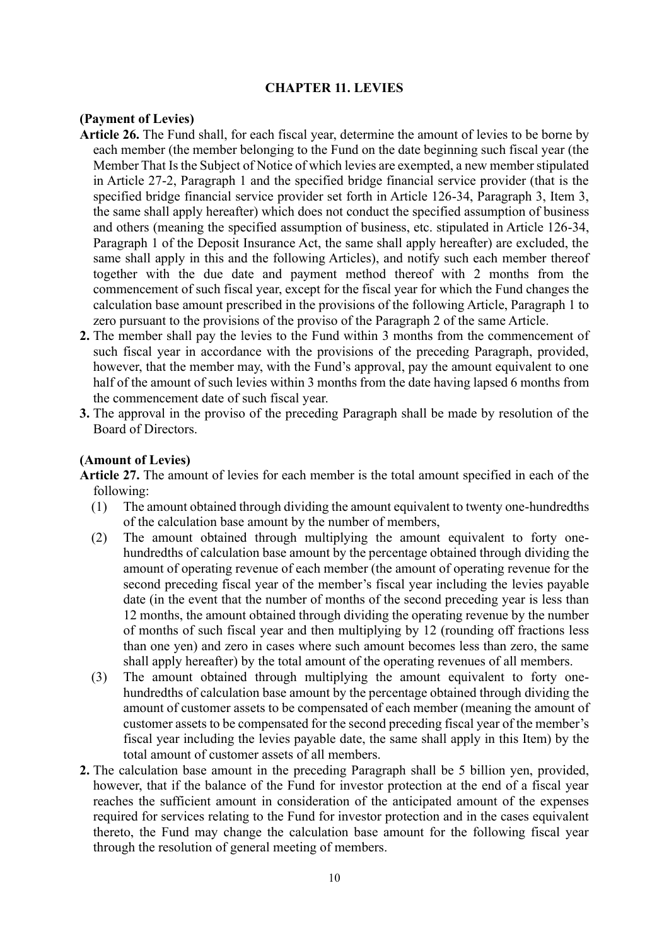### **CHAPTER 11. LEVIES**

#### **(Payment of Levies)**

- **Article 26.** The Fund shall, for each fiscal year, determine the amount of levies to be borne by each member (the member belonging to the Fund on the date beginning such fiscal year (the Member That Is the Subject of Notice of which levies are exempted, a new member stipulated in Article 27-2, Paragraph 1 and the specified bridge financial service provider (that is the specified bridge financial service provider set forth in Article 126-34, Paragraph 3, Item 3, the same shall apply hereafter) which does not conduct the specified assumption of business and others (meaning the specified assumption of business, etc. stipulated in Article 126-34, Paragraph 1 of the Deposit Insurance Act, the same shall apply hereafter) are excluded, the same shall apply in this and the following Articles), and notify such each member thereof together with the due date and payment method thereof with 2 months from the commencement of such fiscal year, except for the fiscal year for which the Fund changes the calculation base amount prescribed in the provisions of the following Article, Paragraph 1 to zero pursuant to the provisions of the proviso of the Paragraph 2 of the same Article.
- **2.** The member shall pay the levies to the Fund within 3 months from the commencement of such fiscal year in accordance with the provisions of the preceding Paragraph, provided, however, that the member may, with the Fund's approval, pay the amount equivalent to one half of the amount of such levies within 3 months from the date having lapsed 6 months from the commencement date of such fiscal year.
- **3.** The approval in the proviso of the preceding Paragraph shall be made by resolution of the Board of Directors.

#### **(Amount of Levies)**

**Article 27.** The amount of levies for each member is the total amount specified in each of the following:

- (1) The amount obtained through dividing the amount equivalent to twenty one-hundredths of the calculation base amount by the number of members,
- (2) The amount obtained through multiplying the amount equivalent to forty onehundredths of calculation base amount by the percentage obtained through dividing the amount of operating revenue of each member (the amount of operating revenue for the second preceding fiscal year of the member's fiscal year including the levies payable date (in the event that the number of months of the second preceding year is less than 12 months, the amount obtained through dividing the operating revenue by the number of months of such fiscal year and then multiplying by 12 (rounding off fractions less than one yen) and zero in cases where such amount becomes less than zero, the same shall apply hereafter) by the total amount of the operating revenues of all members.
- (3) The amount obtained through multiplying the amount equivalent to forty onehundredths of calculation base amount by the percentage obtained through dividing the amount of customer assets to be compensated of each member (meaning the amount of customer assets to be compensated for the second preceding fiscal year of the member's fiscal year including the levies payable date, the same shall apply in this Item) by the total amount of customer assets of all members.
- **2.** The calculation base amount in the preceding Paragraph shall be 5 billion yen, provided, however, that if the balance of the Fund for investor protection at the end of a fiscal year reaches the sufficient amount in consideration of the anticipated amount of the expenses required for services relating to the Fund for investor protection and in the cases equivalent thereto, the Fund may change the calculation base amount for the following fiscal year through the resolution of general meeting of members.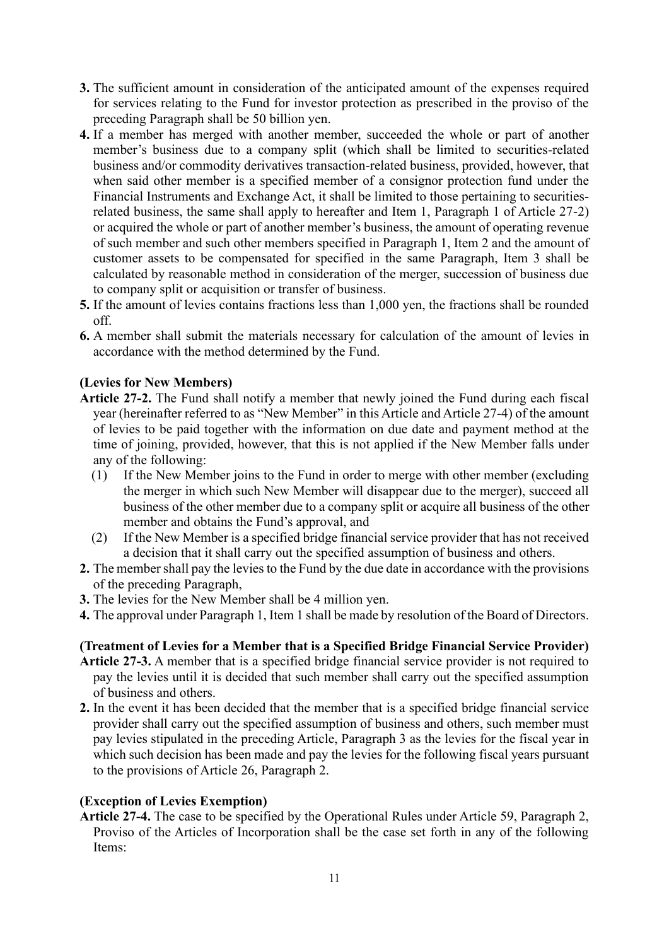- **3.** The sufficient amount in consideration of the anticipated amount of the expenses required for services relating to the Fund for investor protection as prescribed in the proviso of the preceding Paragraph shall be 50 billion yen.
- **4.** If a member has merged with another member, succeeded the whole or part of another member's business due to a company split (which shall be limited to securities-related business and/or commodity derivatives transaction-related business, provided, however, that when said other member is a specified member of a consignor protection fund under the Financial Instruments and Exchange Act, it shall be limited to those pertaining to securitiesrelated business, the same shall apply to hereafter and Item 1, Paragraph 1 of Article 27-2) or acquired the whole or part of another member's business, the amount of operating revenue of such member and such other members specified in Paragraph 1, Item 2 and the amount of customer assets to be compensated for specified in the same Paragraph, Item 3 shall be calculated by reasonable method in consideration of the merger, succession of business due to company split or acquisition or transfer of business.
- **5.** If the amount of levies contains fractions less than 1,000 yen, the fractions shall be rounded off.
- **6.** A member shall submit the materials necessary for calculation of the amount of levies in accordance with the method determined by the Fund.

# **(Levies for New Members)**

- **Article 27-2.** The Fund shall notify a member that newly joined the Fund during each fiscal year (hereinafter referred to as "New Member" in this Article and Article 27-4) of the amount of levies to be paid together with the information on due date and payment method at the time of joining, provided, however, that this is not applied if the New Member falls under any of the following:
	- (1) If the New Member joins to the Fund in order to merge with other member (excluding the merger in which such New Member will disappear due to the merger), succeed all business of the other member due to a company split or acquire all business of the other member and obtains the Fund's approval, and
	- (2) If the New Member is a specified bridge financial service provider that has not received a decision that it shall carry out the specified assumption of business and others.
- **2.** The member shall pay the levies to the Fund by the due date in accordance with the provisions of the preceding Paragraph,
- **3.** The levies for the New Member shall be 4 million yen.
- **4.** The approval under Paragraph 1, Item 1 shall be made by resolution of the Board of Directors.

# **(Treatment of Levies for a Member that is a Specified Bridge Financial Service Provider)**

- **Article 27-3.** A member that is a specified bridge financial service provider is not required to pay the levies until it is decided that such member shall carry out the specified assumption of business and others.
- **2.** In the event it has been decided that the member that is a specified bridge financial service provider shall carry out the specified assumption of business and others, such member must pay levies stipulated in the preceding Article, Paragraph 3 as the levies for the fiscal year in which such decision has been made and pay the levies for the following fiscal years pursuant to the provisions of Article 26, Paragraph 2.

### **(Exception of Levies Exemption)**

**Article 27-4.** The case to be specified by the Operational Rules under Article 59, Paragraph 2, Proviso of the Articles of Incorporation shall be the case set forth in any of the following Items: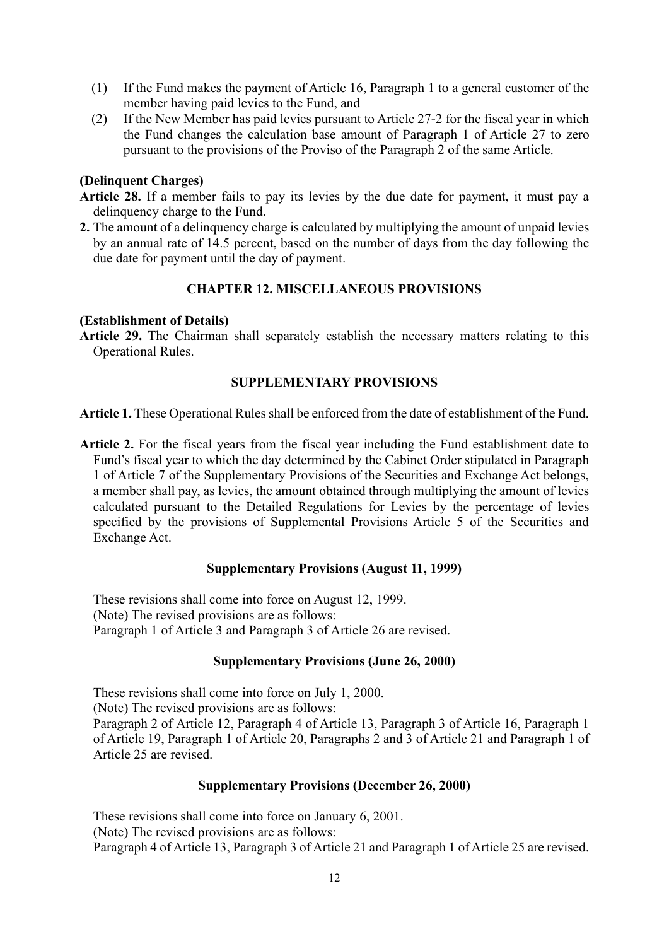- (1) If the Fund makes the payment of Article 16, Paragraph 1 to a general customer of the member having paid levies to the Fund, and
- (2) If the New Member has paid levies pursuant to Article 27-2 for the fiscal year in which the Fund changes the calculation base amount of Paragraph 1 of Article 27 to zero pursuant to the provisions of the Proviso of the Paragraph 2 of the same Article.

## **(Delinquent Charges)**

- **Article 28.** If a member fails to pay its levies by the due date for payment, it must pay a delinquency charge to the Fund.
- **2.** The amount of a delinquency charge is calculated by multiplying the amount of unpaid levies by an annual rate of 14.5 percent, based on the number of days from the day following the due date for payment until the day of payment.

# **CHAPTER 12. MISCELLANEOUS PROVISIONS**

# **(Establishment of Details)**

**Article 29.** The Chairman shall separately establish the necessary matters relating to this Operational Rules.

# **SUPPLEMENTARY PROVISIONS**

**Article 1.** These Operational Rules shall be enforced from the date of establishment of the Fund.

**Article 2.** For the fiscal years from the fiscal year including the Fund establishment date to Fund's fiscal year to which the day determined by the Cabinet Order stipulated in Paragraph 1 of Article 7 of the Supplementary Provisions of the Securities and Exchange Act belongs, a member shall pay, as levies, the amount obtained through multiplying the amount of levies calculated pursuant to the Detailed Regulations for Levies by the percentage of levies specified by the provisions of Supplemental Provisions Article 5 of the Securities and Exchange Act.

# **Supplementary Provisions (August 11, 1999)**

These revisions shall come into force on August 12, 1999. (Note) The revised provisions are as follows: Paragraph 1 of Article 3 and Paragraph 3 of Article 26 are revised.

# **Supplementary Provisions (June 26, 2000)**

These revisions shall come into force on July 1, 2000. (Note) The revised provisions are as follows: Paragraph 2 of Article 12, Paragraph 4 of Article 13, Paragraph 3 of Article 16, Paragraph 1 of Article 19, Paragraph 1 of Article 20, Paragraphs 2 and 3 of Article 21 and Paragraph 1 of Article 25 are revised.

# **Supplementary Provisions (December 26, 2000)**

These revisions shall come into force on January 6, 2001. (Note) The revised provisions are as follows: Paragraph 4 of Article 13, Paragraph 3 of Article 21 and Paragraph 1 of Article 25 are revised.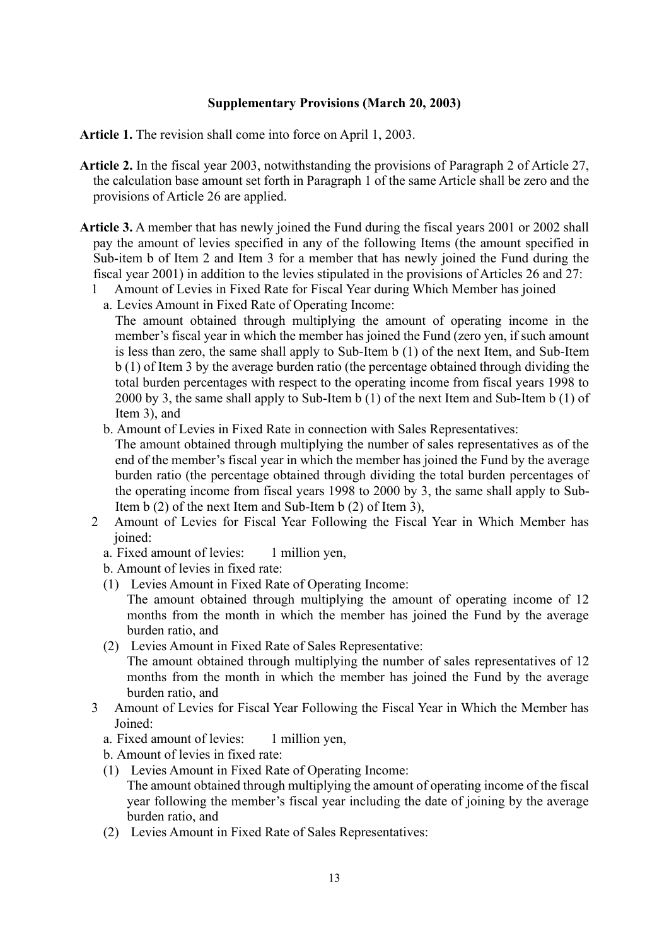## **Supplementary Provisions (March 20, 2003)**

**Article 1.** The revision shall come into force on April 1, 2003.

- **Article 2.** In the fiscal year 2003, notwithstanding the provisions of Paragraph 2 of Article 27, the calculation base amount set forth in Paragraph 1 of the same Article shall be zero and the provisions of Article 26 are applied.
- **Article 3.** A member that has newly joined the Fund during the fiscal years 2001 or 2002 shall pay the amount of levies specified in any of the following Items (the amount specified in Sub-item b of Item 2 and Item 3 for a member that has newly joined the Fund during the fiscal year 2001) in addition to the levies stipulated in the provisions of Articles 26 and 27:
	- 1 Amount of Levies in Fixed Rate for Fiscal Year during Which Member has joined
	- a. Levies Amount in Fixed Rate of Operating Income:

The amount obtained through multiplying the amount of operating income in the member's fiscal year in which the member has joined the Fund (zero yen, if such amount is less than zero, the same shall apply to Sub-Item b (1) of the next Item, and Sub-Item b (1) of Item 3 by the average burden ratio (the percentage obtained through dividing the total burden percentages with respect to the operating income from fiscal years 1998 to 2000 by 3, the same shall apply to Sub-Item b (1) of the next Item and Sub-Item b (1) of Item 3), and

b. Amount of Levies in Fixed Rate in connection with Sales Representatives:

The amount obtained through multiplying the number of sales representatives as of the end of the member's fiscal year in which the member has joined the Fund by the average burden ratio (the percentage obtained through dividing the total burden percentages of the operating income from fiscal years 1998 to 2000 by 3, the same shall apply to Sub-Item b (2) of the next Item and Sub-Item b (2) of Item 3),

- 2 Amount of Levies for Fiscal Year Following the Fiscal Year in Which Member has ioined:
	- a. Fixed amount of levies: 1 million yen,
	- b. Amount of levies in fixed rate:
	- (1) Levies Amount in Fixed Rate of Operating Income:
		- The amount obtained through multiplying the amount of operating income of 12 months from the month in which the member has joined the Fund by the average burden ratio, and
	- (2) Levies Amount in Fixed Rate of Sales Representative: The amount obtained through multiplying the number of sales representatives of 12
		- months from the month in which the member has joined the Fund by the average burden ratio, and
- 3 Amount of Levies for Fiscal Year Following the Fiscal Year in Which the Member has Joined:
	- a. Fixed amount of levies: 1 million yen,

b. Amount of levies in fixed rate:

- (1) Levies Amount in Fixed Rate of Operating Income: The amount obtained through multiplying the amount of operating income of the fiscal year following the member's fiscal year including the date of joining by the average burden ratio, and
- (2) Levies Amount in Fixed Rate of Sales Representatives: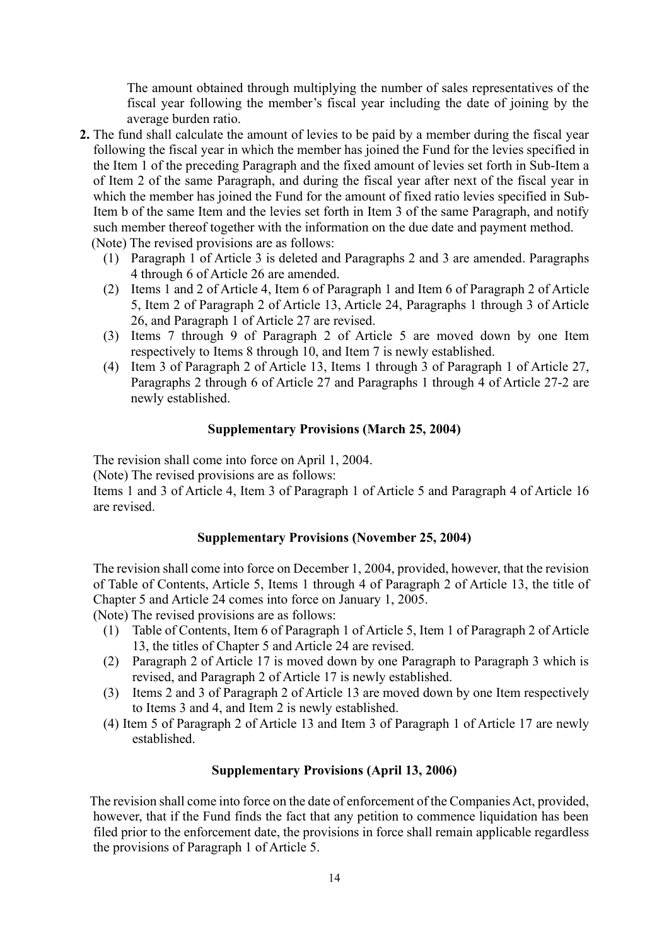The amount obtained through multiplying the number of sales representatives of the fiscal year following the member's fiscal year including the date of joining by the average burden ratio.

**2.** The fund shall calculate the amount of levies to be paid by a member during the fiscal year following the fiscal year in which the member has joined the Fund for the levies specified in the Item 1 of the preceding Paragraph and the fixed amount of levies set forth in Sub-Item a of Item 2 of the same Paragraph, and during the fiscal year after next of the fiscal year in which the member has joined the Fund for the amount of fixed ratio levies specified in Sub-Item b of the same Item and the levies set forth in Item 3 of the same Paragraph, and notify such member thereof together with the information on the due date and payment method.

(Note) The revised provisions are as follows:

- (1) Paragraph 1 of Article 3 is deleted and Paragraphs 2 and 3 are amended. Paragraphs 4 through 6 of Article 26 are amended.
- (2) Items 1 and 2 of Article 4, Item 6 of Paragraph 1 and Item 6 of Paragraph 2 of Article 5, Item 2 of Paragraph 2 of Article 13, Article 24, Paragraphs 1 through 3 of Article 26, and Paragraph 1 of Article 27 are revised.
- (3) Items 7 through 9 of Paragraph 2 of Article 5 are moved down by one Item respectively to Items 8 through 10, and Item 7 is newly established.
- (4) Item 3 of Paragraph 2 of Article 13, Items 1 through 3 of Paragraph 1 of Article 27, Paragraphs 2 through 6 of Article 27 and Paragraphs 1 through 4 of Article 27-2 are newly established.

### **Supplementary Provisions (March 25, 2004)**

The revision shall come into force on April 1, 2004.

(Note) The revised provisions are as follows:

Items 1 and 3 of Article 4, Item 3 of Paragraph 1 of Article 5 and Paragraph 4 of Article 16 are revised.

### **Supplementary Provisions (November 25, 2004)**

The revision shall come into force on December 1, 2004, provided, however, that the revision of Table of Contents, Article 5, Items 1 through 4 of Paragraph 2 of Article 13, the title of Chapter 5 and Article 24 comes into force on January 1, 2005.

(Note) The revised provisions are as follows:

- (1) Table of Contents, Item 6 of Paragraph 1 of Article 5, Item 1 of Paragraph 2 of Article 13, the titles of Chapter 5 and Article 24 are revised.
- (2) Paragraph 2 of Article 17 is moved down by one Paragraph to Paragraph 3 which is revised, and Paragraph 2 of Article 17 is newly established.
- (3) Items 2 and 3 of Paragraph 2 of Article 13 are moved down by one Item respectively to Items 3 and 4, and Item 2 is newly established.
- (4) Item 5 of Paragraph 2 of Article 13 and Item 3 of Paragraph 1 of Article 17 are newly established.

### **Supplementary Provisions (April 13, 2006)**

The revision shall come into force on the date of enforcement of the Companies Act, provided, however, that if the Fund finds the fact that any petition to commence liquidation has been filed prior to the enforcement date, the provisions in force shall remain applicable regardless the provisions of Paragraph 1 of Article 5.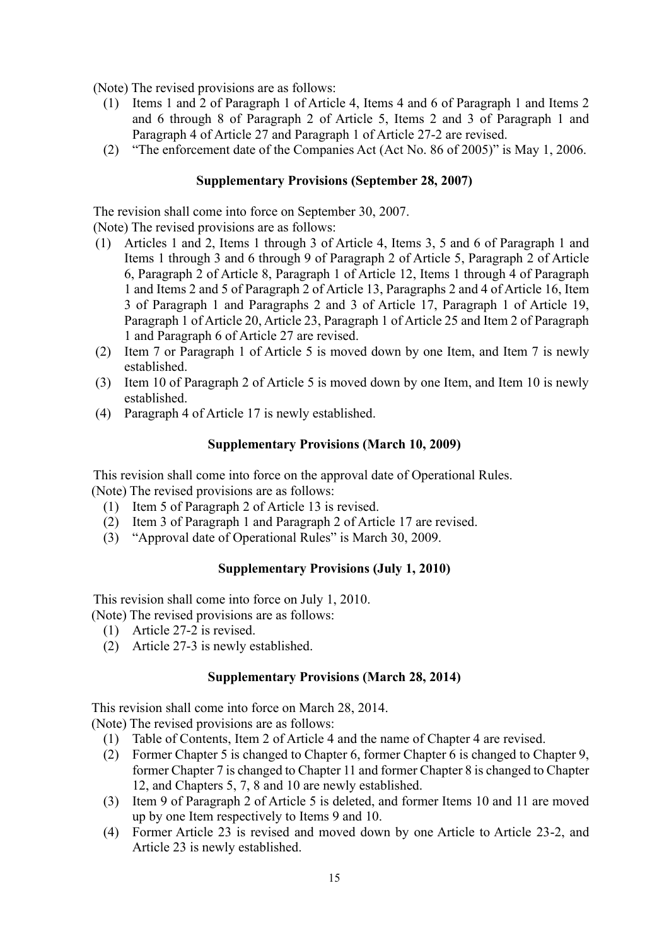(Note) The revised provisions are as follows:

- (1) Items 1 and 2 of Paragraph 1 of Article 4, Items 4 and 6 of Paragraph 1 and Items 2 and 6 through 8 of Paragraph 2 of Article 5, Items 2 and 3 of Paragraph 1 and Paragraph 4 of Article 27 and Paragraph 1 of Article 27-2 are revised.
- (2) "The enforcement date of the Companies Act (Act No. 86 of 2005)" is May 1, 2006.

# **Supplementary Provisions (September 28, 2007)**

The revision shall come into force on September 30, 2007.

(Note) The revised provisions are as follows:

- (1) Articles 1 and 2, Items 1 through 3 of Article 4, Items 3, 5 and 6 of Paragraph 1 and Items 1 through 3 and 6 through 9 of Paragraph 2 of Article 5, Paragraph 2 of Article 6, Paragraph 2 of Article 8, Paragraph 1 of Article 12, Items 1 through 4 of Paragraph 1 and Items 2 and 5 of Paragraph 2 of Article 13, Paragraphs 2 and 4 of Article 16, Item 3 of Paragraph 1 and Paragraphs 2 and 3 of Article 17, Paragraph 1 of Article 19, Paragraph 1 of Article 20, Article 23, Paragraph 1 of Article 25 and Item 2 of Paragraph 1 and Paragraph 6 of Article 27 are revised.
- (2) Item 7 or Paragraph 1 of Article 5 is moved down by one Item, and Item 7 is newly established.
- (3) Item 10 of Paragraph 2 of Article 5 is moved down by one Item, and Item 10 is newly established.
- (4) Paragraph 4 of Article 17 is newly established.

# **Supplementary Provisions (March 10, 2009)**

This revision shall come into force on the approval date of Operational Rules. (Note) The revised provisions are as follows:

- (1) Item 5 of Paragraph 2 of Article 13 is revised.
- (2) Item 3 of Paragraph 1 and Paragraph 2 of Article 17 are revised.
- (3) "Approval date of Operational Rules" is March 30, 2009.

# **Supplementary Provisions (July 1, 2010)**

This revision shall come into force on July 1, 2010.

(Note) The revised provisions are as follows:

- (1) Article 27-2 is revised.
- (2) Article 27-3 is newly established.

### **Supplementary Provisions (March 28, 2014)**

This revision shall come into force on March 28, 2014.

(Note) The revised provisions are as follows:

- (1) Table of Contents, Item 2 of Article 4 and the name of Chapter 4 are revised.
- (2) Former Chapter 5 is changed to Chapter 6, former Chapter 6 is changed to Chapter 9, former Chapter 7 is changed to Chapter 11 and former Chapter 8 is changed to Chapter 12, and Chapters 5, 7, 8 and 10 are newly established.
- (3) Item 9 of Paragraph 2 of Article 5 is deleted, and former Items 10 and 11 are moved up by one Item respectively to Items 9 and 10.
- (4) Former Article 23 is revised and moved down by one Article to Article 23-2, and Article 23 is newly established.